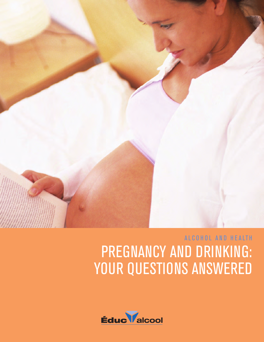

# ALCOHOL AND HEALTH PREGNANCY AND DRINKING: YOUR QUESTIONS ANSWERED

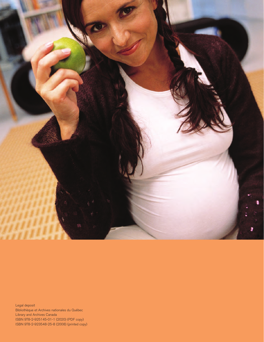

Legal deposit Bibliothèque et Archives nationales du Québec Library and Archives Canada ISBN 978-2-925145-01-1 (2020) (PDF copy) ISBN 978-2-923548-25-8 (2008) (printed copy)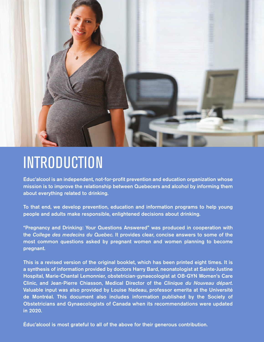

# INTRODUCTION

**E**́**duc'alcool is an independent, not-for-profit prevention and education organization whose mission is to improve the relationship between Quebecers and alcohol by informing them about everything related to drinking.**

**To that end, we develop prevention, education and information programs to help young people and adults make responsible, enlightened decisions about drinking.**

**"Pregnancy and Drinking: Your Questions Answered" was produced in cooperation with the** *College des medecins du Quebec***. It provides clear, concise answers to some of the most common questions asked by pregnant women and women planning to become pregnant.**

**This is a revised version of the original booklet, which has been printed eight times. It is a synthesis of information provided by doctors Harry Bard, neonatologist at Sainte-Justine Hospital, Marie-Chantal Lemonnier, obstetrician-gynaecologist at OB-GYN Women's Care Clinic, and Jean-Pierre Chiasson, Medical Director of the** *Clinique du Nouveau départ***. Valuable input was also provided by Louise Nadeau, professor emerita at the Université de Montréal. This document also includes information published by the Society of Obstetricians and Gynaecologists of Canada when its recommendations were updated in 2020.**

**Éduc'alcool is most grateful to all of the above for their generous contribution.**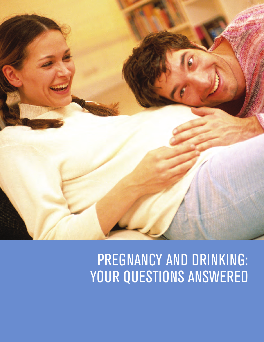

# PREGNANCY AND DRINKING: YOUR QUESTIONS ANSWERED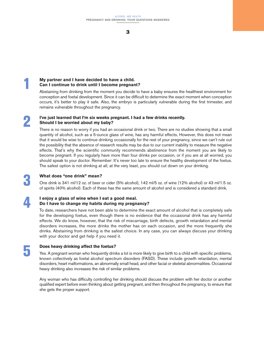**3**

#### **My partner and I have decided to have a child. Can I continue to drink until I become pregnant?**

Abstaining from drinking from the moment you decide to have a baby ensures the healthiest environment for conception and foetal development. Since it can be difficult to determine the exact moment when conception occurs, it's better to play it safe. Also, the embryo is particularly vulnerable during the first trimester, and remains vulnerable throughout the pregnancy.

#### **I've just learned that I'm six weeks pregnant. I had a few drinks recently. Should I be worried about my baby? 2**

There is no reason to worry if you had an occasional drink or two. There are no studies showing that a small quantity of alcohol, such as a 5-ounce glass of wine, has any harmful effects. However, this does not mean that it would be wise to continue drinking occasionally for the rest of your pregnancy, since we can't rule out the possibility that the absence of research results may be due to our current inability to measure the negative effects. That's why the scientific community recommends abstinence from the moment you are likely to become pregnant. If you regularly have more than four drinks per occasion, or if you are at all worried, you should speak to your doctor. Remember: It's never too late to ensure the healthy development of the foetus. The safest option is not drinking at all; at the very least, you should cut down on your drinking.

# **3**

**4**

**5**

**1**

#### **What does "one drink" mean?**

One drink is 341 ml/12 oz. of beer or cider (5% alcohol), 142 ml/5 oz. of wine (12% alcohol) or 43 ml/1.5 oz. of spirits (40% alcohol). Each of these has the same amount of alcohol and is considered a standard drink.

#### **I enjoy a glass of wine when I eat a good meal. Do I have to change my habits during my pregnancy?**

To date, researchers have not been able to determine the exact amount of alcohol that is completely safe for the developing foetus, even though there is no evidence that the occasional drink has any harmful effects. We do know, however, that the risk of miscarriage, birth defects, growth retardation and mental disorders increases, the more drinks the mother has on each occasion, and the more frequently she drinks. Abstaining from drinking is the safest choice. In any case, you can always discuss your drinking with your doctor and get help if you need it.

#### **Does heavy drinking affect the foetus?**

Yes. A pregnant woman who frequently drinks a lot is more likely to give birth to a child with specific problems, known collectively as foetal alcohol spectrum disorders (FASD). These include growth retardation, mental disorders, heart malformations, an abnormally small head, and other facial or skeletal abnormalities. Occasional heavy drinking also increases the risk of similar problems.

Any woman who has difficulty controlling her drinking should discuss the problem with her doctor or another qualified expert before even thinking about getting pregnant, and then throughout the pregnancy, to ensure that she gets the proper support.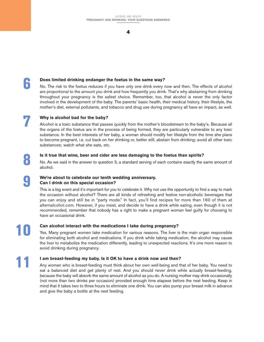#### **4**

#### **Does limited drinking endanger the foetus in the same way?**

No. The risk to the foetus reduces if you have only one drink every now and then. The effects of alcohol are proportional to the amount you drink and how frequently you drink. That's why abstaining from drinking throughout your pregnancy is the safest choice. Remember, too, that alcohol is never the only factor involved in the development of the baby. The parents' basic health, their medical history, their lifestyle, the mother's diet, external pollutants, and tobacco and drug use during pregnancy all have an impact, as well.

**7**

**6**

**9**

**8**

**10**

**11**

#### **Why is alcohol bad for the baby?**

Alcohol is a toxic substance that passes quickly from the mother's bloodstream to the baby's. Because all the organs of the foetus are in the process of being formed, they are particularly vulnerable to any toxic substance. In the best interests of her baby, a woman should modify her lifestyle from the time she plans to become pregnant, i.e. cut back on her drinking or, better still, abstain from drinking; avoid all other toxic substances; watch what she eats, etc.

#### **Is it true that wine, beer and cider are less damaging to the foetus than spirits?**

No. As we said in the answer to question 3, a standard serving of each contains exactly the same amount of alcohol.

#### **We're about to celebrate our tenth wedding anniversary. Can I drink on this special occasion?**

This is a big event and it's important for you to celebrate it. Why not use the opportunity to find a way to mark the occasion without alcohol? There are all kinds of refreshing and festive non-alcoholic beverages that you can enjoy and still be in "party mode." In fact, you'll find recipes for more than 160 of them at alternalcohol.com. However, if you insist, and decide to have a drink while eating, even though it is not recommended, remember that nobody has a right to make a pregnant woman feel guilty for choosing to have an occasional drink.

#### **Can alcohol interact with the medications I take during pregnancy?**

Yes. Many pregnant women take medication for various reasons. The liver is the main organ responsible for eliminating both alcohol and medications. If you drink while taking medication, the alcohol may cause the liver to metabolize the medication differently, leading to unexpected reactions. It's one more reason to avoid drinking during pregnancy.

#### **I am breast-feeding my baby. Is it OK to have a drink now and then?**

Any woman who is breast-feeding must think about her own well-being and that of her baby. You need to eat a balanced diet and get plenty of rest. And you should never drink while actually breast-feeding, because the baby will absorb the same amount of alcohol as you do. A nursing mother may drink occasionally (not more than two drinks per occasion) provided enough time elapses before the next feeding. Keep in mind that it takes two to three hours to eliminate one drink. You can also pump your breast milk in advance and give the baby a bottle at the next feeding.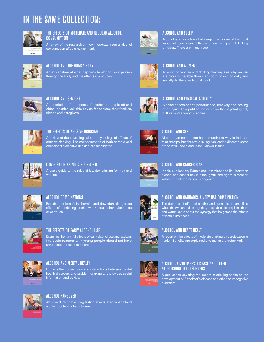# IN THE SAME COLLECTION:



#### THE EFFECTS OF MODERATE AND REGULAR ALCOHOL **CONSUMPTION**

A review of the research on how moderate, regular alcohol consumption affects human health.



## ALCOHOL AND THE HUMAN BODY

An explanation of what happens to alcohol as it passes through the body and the effects it produces.



ALCOHOL AND SENIORS

A description of the effects of alcohol on people 65 and older. Includes valuable advice for seniors, their families, friends and caregivers.



# THE EFFECTS OF ABUSIVE DRINKING

A review of the physiological and psychological effects of abusive drinking. The consequences of both chronic and occasional excessive drinking are highlighted.



## LOW-RISK DRINKING: 2 • 3 • 4 • 0

A basic guide to the rules of low-risk drinking for men and women.



# ALCOHOL COMBINATIONS

Explains the beneficial, harmful and downright dangerous effects of combining alcohol with various other substances or activities.



# THE EFFECTS OF EARLY ALCOHOL USE

Examines the harmful effects of early alcohol use and explains the basic reasons why young people should not have unrestricted access to alcohol.



# ALCOHOL AND MENTAL HEALTH

Explains the connections and interactions between mental health disorders and problem drinking and provides useful information and advice.



### ALCOHOL HANGOVER

Abusive drinking has long-lasting effects even when blood alcohol content is back to zero.



## ALCOHOL AND SLEEP

Alcohol is a fickle friend of sleep. That's one of the most important conclusions of this report on the impact of drinking on sleep. There are many more.



### ALCOHOL AND WOMEN

A report on women and drinking that explains why women are more vulnerable than men–both physiologically and socially–to the effects of alcohol.



### ALCOHOL AND PHYSICAL ACTIVITY

Alcohol affects sports performance, recovery and healing after injury. This publication explains the psychological, cultural and economic angles.



## ALCOHOL AND SEX

Alcohol can sometimes help smooth the way in intimate relationships, but abusive drinking can lead to disaster: some of the well-known and lesser-known issues.



# ALCOHOL AND CANCER RISK

In this publication, Éduc'alcool examines the link between alcohol and cancer risk in a thoughtful and rigorous manner, without trivializing or fear-mongering.



# ALCOHOL AND CANNABIS: A VERY BAD COMBINATION

The depressant effect of alcohol and cannabis are amplified when the two are taken together, this publication explains them and warns users about the synergy that heightens the effects of both substances.



### ALCOHOL AND HEART HEALTH

A report on the effects of moderate drinking on cardiovascular health. Benefits are explained and myths are debunked.

| - 11<br><b>PAIL 1911</b><br>ı<br>$\sim$<br>٠ |
|----------------------------------------------|
| -<br>_                                       |

#### ALCOHOL, ALZHEIMER'S DISEASE AND OTHER NEUROCOGNITIVE DISORDERS

A publication covering the impact of drinking habits on the development of Alzheimer's disease and other neurocognitive disorders.